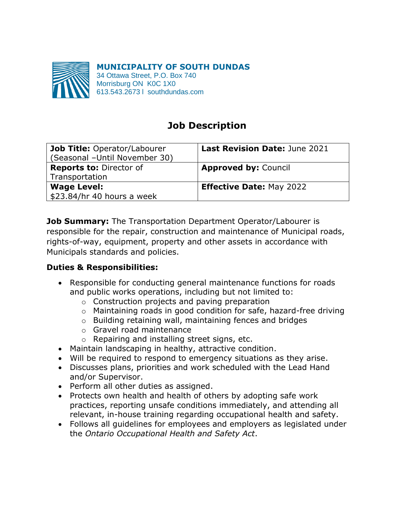

**MUNICIPALITY OF SOUTH DUNDAS** 34 Ottawa Street, P.O. Box 740 Morrisburg ON K0C 1X0 613.543.2673 l southdundas.com

# **Job Description**

| Job Title: Operator/Labourer<br>(Seasonal -Until November 30) | <b>Last Revision Date: June 2021</b> |
|---------------------------------------------------------------|--------------------------------------|
| <b>Reports to: Director of</b><br>Transportation              | <b>Approved by: Council</b>          |
| <b>Wage Level:</b><br>\$23.84/hr 40 hours a week              | <b>Effective Date: May 2022</b>      |

**Job Summary:** The Transportation Department Operator/Labourer is responsible for the repair, construction and maintenance of Municipal roads, rights-of-way, equipment, property and other assets in accordance with Municipals standards and policies.

# **Duties & Responsibilities:**

- Responsible for conducting general maintenance functions for roads and public works operations, including but not limited to:
	- o Construction projects and paving preparation
	- o Maintaining roads in good condition for safe, hazard-free driving
	- o Building retaining wall, maintaining fences and bridges
	- o Gravel road maintenance
	- o Repairing and installing street signs, etc.
- Maintain landscaping in healthy, attractive condition.
- Will be required to respond to emergency situations as they arise.
- Discusses plans, priorities and work scheduled with the Lead Hand and/or Supervisor.
- Perform all other duties as assigned.
- Protects own health and health of others by adopting safe work practices, reporting unsafe conditions immediately, and attending all relevant, in-house training regarding occupational health and safety.
- Follows all guidelines for employees and employers as legislated under the *Ontario Occupational Health and Safety Act*.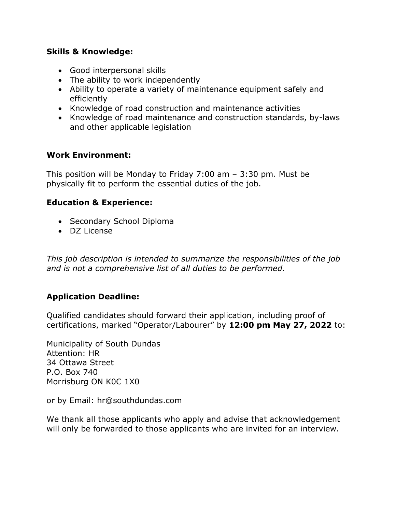#### **Skills & Knowledge:**

- Good interpersonal skills
- The ability to work independently
- Ability to operate a variety of maintenance equipment safely and efficiently
- Knowledge of road construction and maintenance activities
- Knowledge of road maintenance and construction standards, by-laws and other applicable legislation

#### **Work Environment:**

This position will be Monday to Friday 7:00 am – 3:30 pm. Must be physically fit to perform the essential duties of the job.

## **Education & Experience:**

- Secondary School Diploma
- DZ License

*This job description is intended to summarize the responsibilities of the job and is not a comprehensive list of all duties to be performed.* 

## **Application Deadline:**

Qualified candidates should forward their application, including proof of certifications, marked "Operator/Labourer" by **12:00 pm May 27, 2022** to:

Municipality of South Dundas Attention: HR 34 Ottawa Street P.O. Box 740 Morrisburg ON K0C 1X0

or by Email: hr@southdundas.com

We thank all those applicants who apply and advise that acknowledgement will only be forwarded to those applicants who are invited for an interview.